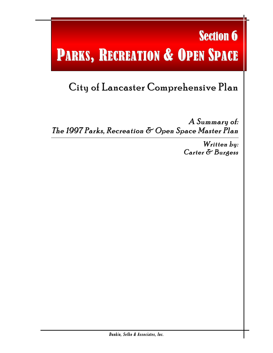# **Section 6** PARKS, RECREATION & OPEN SPACE

## City of Lancaster Comprehensive Plan

A Summary of: The 1997 Parks, Recreation & Open Space Master Plan

> Written by: Carter & Burgess

l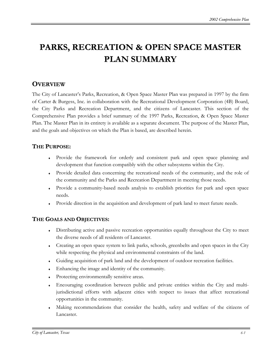### **PARKS, RECREATION & OPEN SPACE MASTER PLAN SUMMARY**

#### **OVERVIEW**

The City of Lancaster's Parks, Recreation, & Open Space Master Plan was prepared in 1997 by the firm of Carter & Burgess, Inc. in collaboration with the Recreational Development Corporation (4B) Board, the City Parks and Recreation Department, and the citizens of Lancaster. This section of the Comprehensive Plan provides a brief summary of the 1997 Parks, Recreation, & Open Space Master Plan. The Master Plan in its entirety is available as a separate document. The purpose of the Master Plan, and the goals and objectives on which the Plan is based, are described herein.

#### **THE PURPOSE:**

- Provide the framework for orderly and consistent park and open space planning and development that function compatibly with the other subsystems within the City.
- ♦ Provide detailed data concerning the recreational needs of the community, and the role of the community and the Parks and Recreation Department in meeting those needs.
- ♦ Provide a community-based needs analysis to establish priorities for park and open space needs.
- Provide direction in the acquisition and development of park land to meet future needs.

#### **THE GOALS AND OBJECTIVES:**

- Distributing active and passive recreation opportunities equally throughout the City to meet the diverse needs of all residents of Lancaster.
- Creating an open space system to link parks, schools, greenbelts and open spaces in the City while respecting the physical and environmental constraints of the land.
- ♦ Guiding acquisition of park land and the development of outdoor recreation facilities.
- ♦ Enhancing the image and identity of the community.
- Protecting environmentally sensitive areas.
- ♦ Encouraging coordination between public and private entities within the City and multijurisdictional efforts with adjacent cities with respect to issues that affect recreational opportunities in the community.
- Making recommendations that consider the health, safety and welfare of the citizens of Lancaster.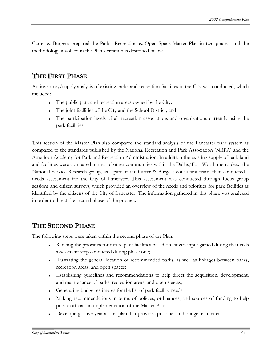Carter & Burgess prepared the Parks, Recreation & Open Space Master Plan in two phases, and the methodology involved in the Plan's creation is described below

#### **THE FIRST PHASE**

An inventory/supply analysis of existing parks and recreation facilities in the City was conducted, which included:

- The public park and recreation areas owned by the City;
- The joint facilities of the City and the School District; and
- The participation levels of all recreation associations and organizations currently using the park facilities.

This section of the Master Plan also compared the standard analysis of the Lancaster park system as compared to the standards published by the National Recreation and Park Association (NRPA) and the American Academy for Park and Recreation Administration. In addition the existing supply of park land and facilities were compared to that of other communities within the Dallas/Fort Worth metroplex. The National Service Research group, as a part of the Carter & Burgess consultant team, then conducted a needs assessment for the City of Lancaster. This assessment was conducted through focus group sessions and citizen surveys, which provided an overview of the needs and priorities for park facilities as identified by the citizens of the City of Lancaster. The information gathered in this phase was analyzed in order to direct the second phase of the process.

#### **THE SECOND PHASE**

The following steps were taken within the second phase of the Plan:

- ♦ Ranking the priorities for future park facilities based on citizen input gained during the needs assessment step conducted during phase one;
- ♦ Illustrating the general location of recommended parks, as well as linkages between parks, recreation areas, and open spaces;
- ♦ Establishing guidelines and recommendations to help direct the acquisition, development, and maintenance of parks, recreation areas, and open spaces;
- Generating budget estimates for the list of park facility needs;
- Making recommendations in terms of policies, ordinances, and sources of funding to help public officials in implementation of the Master Plan;
- Developing a five-year action plan that provides priorities and budget estimates.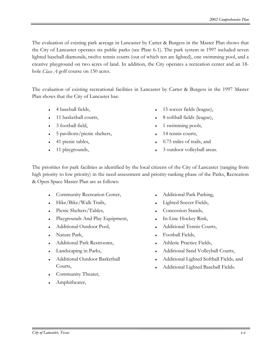The evaluation of existing park acreage in Lancaster by Carter & Burgess in the Master Plan shows that the City of Lancaster operates six public parks (see Plate 6-1). The park system in 1997 included seven lighted baseball diamonds, twelve tennis courts (out of which ten are lighted), one swimming pool, and a creative playground on two acres of land. In addition, the City operates a recreation center and an 18 hole *Class A* golf course on 150 acres.

The evaluation of existing recreational facilities in Lancaster by Carter & Burgess in the 1997 Master Plan shows that the City of Lancaster has:

- 4 baseball fields,
- 11 basketball courts,
- 3 football field,
- $\bullet$  5 pavilions/picnic shelters,
- 41 picnic tables,
- $\cdot$  11 playgrounds,
- 15 soccer fields (league),
- 8 softball fields (league),
- 1 swimming pools,
- $\cdot$  14 tennis courts,
- $\bullet$  0.75 miles of trails, and
- 3 outdoor volleyball areas.

The priorities for park facilities as identified by the local citizens of the City of Lancaster (ranging from high priority to low priority) in the need-assessment and priority-ranking phase of the Parks, Recreation & Open Space Master Plan are as follows:

- Community Recreation Center,
- Hike/Bike/Walk Trails,
- Picnic Shelters/Tables,
- ♦ Playgrounds And Play Equipment,
- Additional Outdoor Pool,
- Nature Park,
- ♦ Additional Park Restrooms,
- $\bullet$  Landscaping in Parks,
- Additional Outdoor Basketball Courts,
- Community Theater,
- Amphitheater,
- Additional Park Parking,
- Lighted Soccer Fields,
- Concession Stands,
- ♦ In-Line Hockey Rink,
- Additional Tennis Courts,
- Football Fields,
- ♦ Athletic Practice Fields,
- Additional Sand Volleyball Courts,
- Additional Lighted Softball Fields, and
- Additional Lighted Baseball Fields.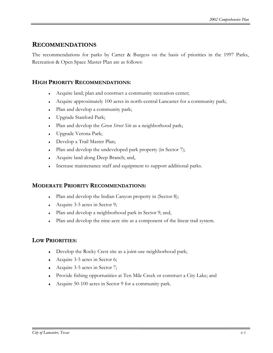#### **RECOMMENDATIONS**

The recommendations for parks by Carter & Burgess on the basis of priorities in the 1997 Parks, Recreation & Open Space Master Plan are as follows:

#### **HIGH PRIORITY RECOMMENDATIONS:**

- Acquire land; plan and construct a community recreation center;
- ♦ Acquire approximately 100 acres in north-central Lancaster for a community park;
- Plan and develop a community park;
- ♦ Upgrade Stanford Park;
- ♦ Plan and develop the *Green Street Site* as a neighborhood park;
- ♦ Upgrade Verona Park;
- Develop a Trail Master Plan;
- Plan and develop the undeveloped park property (in Sector 7);
- ♦ Acquire land along Deep Branch; and,
- Increase maintenance staff and equipment to support additional parks.

#### **MODERATE PRIORITY RECOMMENDATIONS:**

- Plan and develop the Indian Canyon property in (Sector 8);
- Acquire 3-5 acres in Sector 9;
- ♦ Plan and develop a neighborhood park in Sector 9; and,
- ♦ Plan and develop the nine-acre site as a component of the linear trail system.

#### **LOW PRIORITIES:**

- ♦ Develop the Rocky Crest site as a joint-use neighborhood park;
- Acquire 3-5 acres in Sector 6;
- ♦ Acquire 3-5 acres in Sector 7;
- ♦ Provide fishing opportunities at Ten Mile Creek or construct a City Lake; and
- ♦ Acquire 50-100 acres in Sector 9 for a community park.